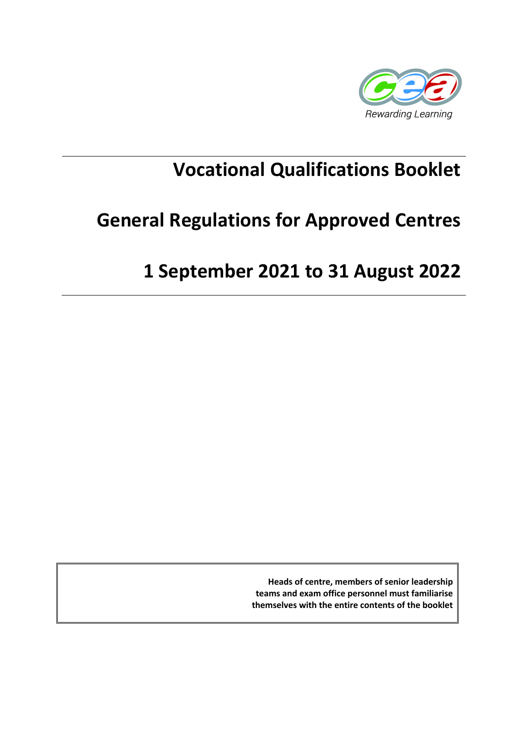

# **Vocational Qualifications Booklet**

# **General Regulations for Approved Centres**

# **1 September 2021 to 31 August 2022**

**Heads of centre, members of senior leadership teams and exam office personnel must familiarise themselves with the entire contents of the booklet**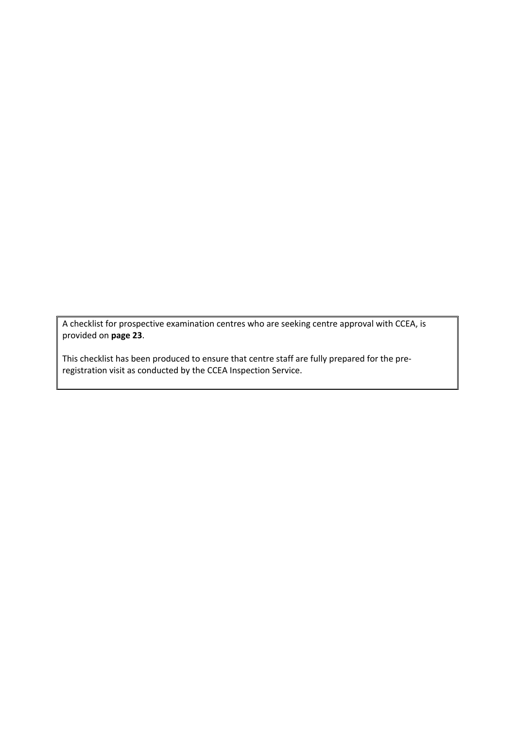A checklist for prospective examination centres who are seeking centre approval with CCEA, is provided on **page 23**.

This checklist has been produced to ensure that centre staff are fully prepared for the preregistration visit as conducted by the CCEA Inspection Service.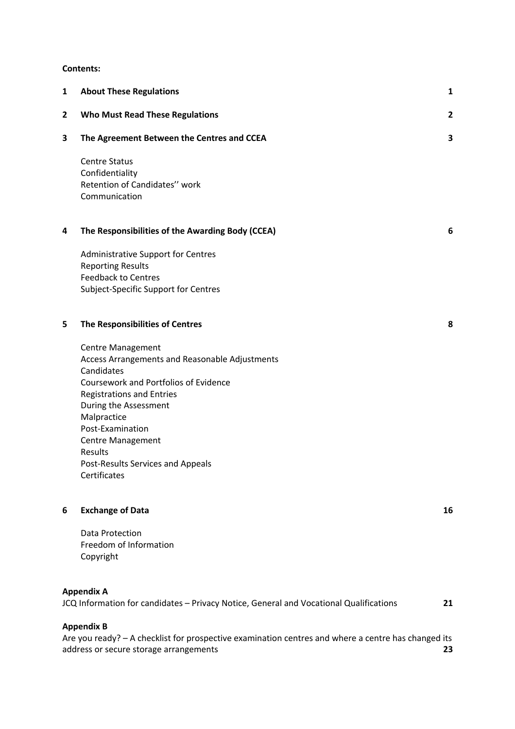#### **Contents:**

| $\mathbf{1}$ | <b>About These Regulations</b>                                                         | 1              |
|--------------|----------------------------------------------------------------------------------------|----------------|
| $\mathbf{2}$ | <b>Who Must Read These Regulations</b>                                                 | $\overline{2}$ |
| 3            | The Agreement Between the Centres and CCEA                                             | 3              |
|              | <b>Centre Status</b>                                                                   |                |
|              | Confidentiality                                                                        |                |
|              | Retention of Candidates" work<br>Communication                                         |                |
| 4            | The Responsibilities of the Awarding Body (CCEA)                                       | 6              |
|              | <b>Administrative Support for Centres</b>                                              |                |
|              | <b>Reporting Results</b>                                                               |                |
|              | <b>Feedback to Centres</b><br>Subject-Specific Support for Centres                     |                |
|              |                                                                                        |                |
| 5            | The Responsibilities of Centres                                                        | 8              |
|              | <b>Centre Management</b>                                                               |                |
|              | Access Arrangements and Reasonable Adjustments                                         |                |
|              | Candidates                                                                             |                |
|              | Coursework and Portfolios of Evidence                                                  |                |
|              | <b>Registrations and Entries</b>                                                       |                |
|              | During the Assessment<br>Malpractice                                                   |                |
|              | Post-Examination                                                                       |                |
|              | Centre Management                                                                      |                |
|              | Results                                                                                |                |
|              | Post-Results Services and Appeals                                                      |                |
|              | Certificates                                                                           |                |
| 6            | <b>Exchange of Data</b>                                                                | 16             |
|              | Data Protection                                                                        |                |
|              | Freedom of Information                                                                 |                |
|              | Copyright                                                                              |                |
|              | <b>Appendix A</b>                                                                      |                |
|              | JCQ Information for candidates - Privacy Notice, General and Vocational Qualifications | 21             |

**Appendix B**

Are you ready? – A checklist for prospective examination centres and where a centre has changed its address or secure storage arrangements **23**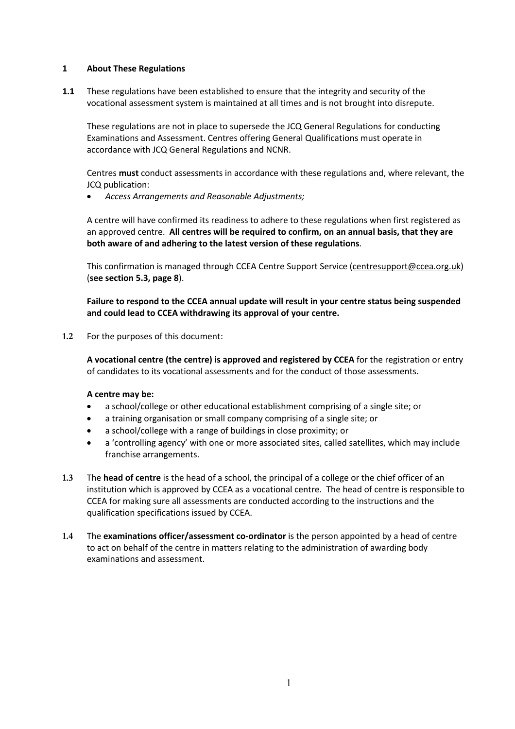# **1 About These Regulations**

**1.1** These regulations have been established to ensure that the integrity and security of the vocational assessment system is maintained at all times and is not brought into disrepute.

These regulations are not in place to supersede the JCQ General Regulations for conducting Examinations and Assessment. Centres offering General Qualifications must operate in accordance with JCQ General Regulations and NCNR.

Centres **must** conduct assessments in accordance with these regulations and, where relevant, the JCQ publication:

• *Access Arrangements and Reasonable Adjustments;*

A centre will have confirmed its readiness to adhere to these regulations when first registered as an approved centre. **All centres will be required to confirm, on an annual basis, that they are both aware of and adhering to the latest version of these regulations**.

This confirmation is managed through CCEA Centre Support Service (centresupport@ccea.org.uk) (**see section 5.3, page 8**).

**Failure to respond to the CCEA annual update will result in your centre status being suspended and could lead to CCEA withdrawing its approval of your centre.**

**1.2** For the purposes of this document:

**A vocational centre (the centre) is approved and registered by CCEA** for the registration or entry of candidates to its vocational assessments and for the conduct of those assessments.

#### **A centre may be:**

- a school/college or other educational establishment comprising of a single site; or
- a training organisation or small company comprising of a single site; or
- a school/college with a range of buildings in close proximity; or
- a 'controlling agency' with one or more associated sites, called satellites, which may include franchise arrangements.
- **1.3** The **head of centre** is the head of a school, the principal of a college or the chief officer of an institution which is approved by CCEA as a vocational centre. The head of centre is responsible to CCEA for making sure all assessments are conducted according to the instructions and the qualification specifications issued by CCEA.
- **1.4** The **examinations officer/assessment co-ordinator** is the person appointed by a head of centre to act on behalf of the centre in matters relating to the administration of awarding body examinations and assessment.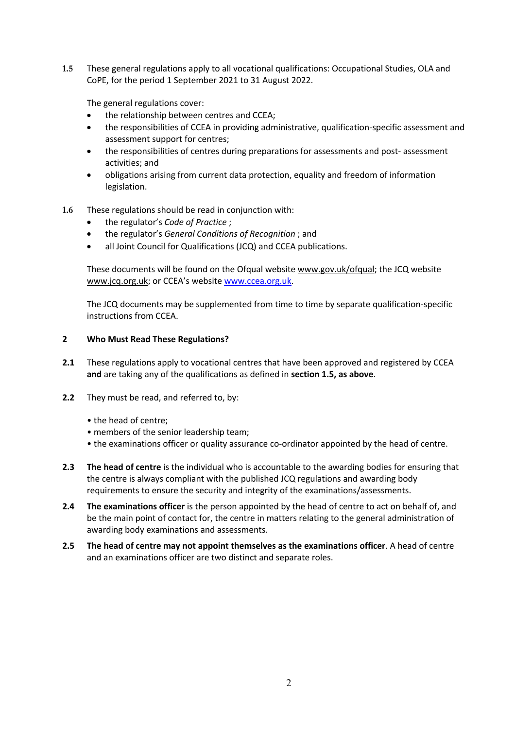**1.5** These general regulations apply to all vocational qualifications: Occupational Studies, OLA and CoPE, for the period 1 September 2021 to 31 August 2022.

The general regulations cover:

- the relationship between centres and CCEA;
- the responsibilities of CCEA in providing administrative, qualification-specific assessment and assessment support for centres;
- the responsibilities of centres during preparations for assessments and post- assessment activities; and
- obligations arising from current data protection, equality and freedom of information legislation.
- **1.6** These regulations should be read in conjunction with:
	- the regulator's *Code of Practice* ;
	- the regulator's *General Conditions of Recognition* ; and
	- all Joint Council for Qualifications (JCQ) and CCEA publications.

These documents will be found on the Ofqual website www.gov.uk/ofqual; the JCQ website www.jcq.org.uk; or CCEA's website www.ccea.org.uk.

The JCQ documents may be supplemented from time to time by separate qualification-specific instructions from CCEA.

#### **2 Who Must Read These Regulations?**

- **2.1** These regulations apply to vocational centres that have been approved and registered by CCEA **and** are taking any of the qualifications as defined in **section 1.5, as above**.
- **2.2** They must be read, and referred to, by:
	- the head of centre;
	- members of the senior leadership team;
	- the examinations officer or quality assurance co-ordinator appointed by the head of centre.
- **2.3 The head of centre** is the individual who is accountable to the awarding bodies for ensuring that the centre is always compliant with the published JCQ regulations and awarding body requirements to ensure the security and integrity of the examinations/assessments.
- **2.4 The examinations officer** is the person appointed by the head of centre to act on behalf of, and be the main point of contact for, the centre in matters relating to the general administration of awarding body examinations and assessments.
- **2.5 The head of centre may not appoint themselves as the examinations officer**. A head of centre and an examinations officer are two distinct and separate roles.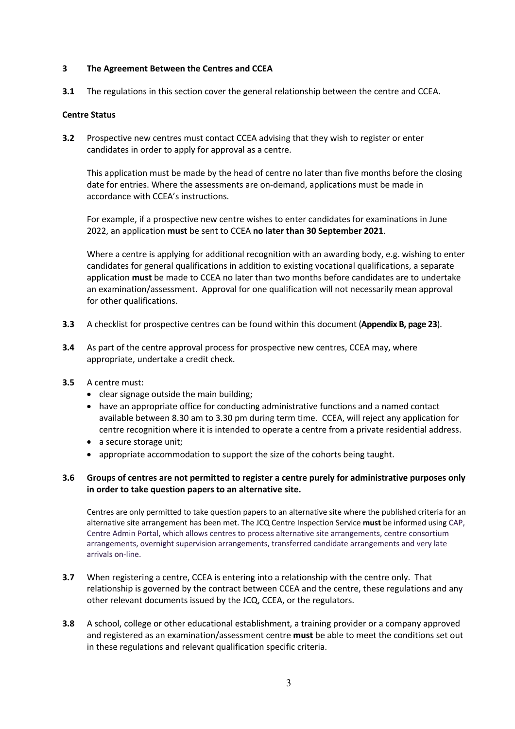# **3 The Agreement Between the Centres and CCEA**

**3.1** The regulations in this section cover the general relationship between the centre and CCEA.

# **Centre Status**

**3.2** Prospective new centres must contact CCEA advising that they wish to register or enter candidates in order to apply for approval as a centre.

This application must be made by the head of centre no later than five months before the closing date for entries. Where the assessments are on-demand, applications must be made in accordance with CCEA's instructions.

For example, if a prospective new centre wishes to enter candidates for examinations in June 2022, an application **must** be sent to CCEA **no later than 30 September 2021**.

Where a centre is applying for additional recognition with an awarding body, e.g. wishing to enter candidates for general qualifications in addition to existing vocational qualifications, a separate application **must** be made to CCEA no later than two months before candidates are to undertake an examination/assessment. Approval for one qualification will not necessarily mean approval for other qualifications.

- **3.3** A checklist for prospective centres can be found within this document (**Appendix B, page 23**).
- **3.4** As part of the centre approval process for prospective new centres, CCEA may, where appropriate, undertake a credit check.
- **3.5** A centre must:
	- clear signage outside the main building;
	- have an appropriate office for conducting administrative functions and a named contact available between 8.30 am to 3.30 pm during term time. CCEA, will reject any application for centre recognition where it is intended to operate a centre from a private residential address.
	- a secure storage unit:
	- appropriate accommodation to support the size of the cohorts being taught.

# **3.6 Groups of centres are not permitted to register a centre purely for administrative purposes only in order to take question papers to an alternative site.**

Centres are only permitted to take question papers to an alternative site where the published criteria for an alternative site arrangement has been met. The JCQ Centre Inspection Service **must** be informed using CAP, Centre Admin Portal, which allows centres to process alternative site arrangements, centre consortium arrangements, overnight supervision arrangements, transferred candidate arrangements and very late arrivals on-line.

- **3.7** When registering a centre, CCEA is entering into a relationship with the centre only. That relationship is governed by the contract between CCEA and the centre, these regulations and any other relevant documents issued by the JCQ, CCEA, or the regulators.
- **3.8** A school, college or other educational establishment, a training provider or a company approved and registered as an examination/assessment centre **must** be able to meet the conditions set out in these regulations and relevant qualification specific criteria.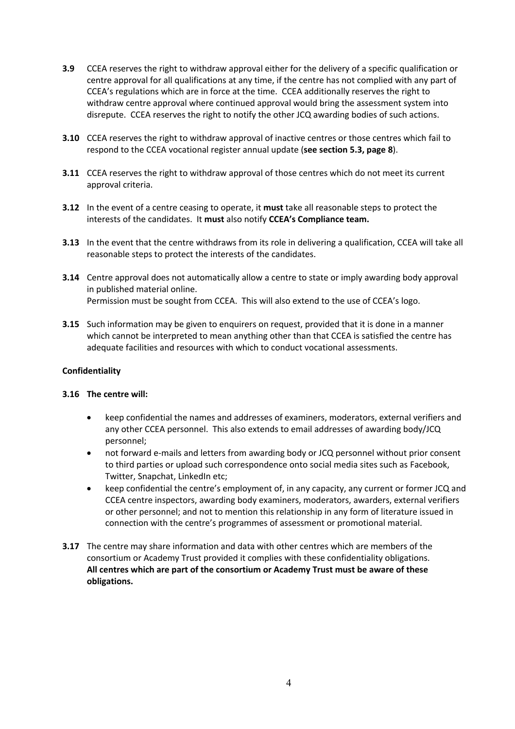- **3.9** CCEA reserves the right to withdraw approval either for the delivery of a specific qualification or centre approval for all qualifications at any time, if the centre has not complied with any part of CCEA's regulations which are in force at the time. CCEA additionally reserves the right to withdraw centre approval where continued approval would bring the assessment system into disrepute. CCEA reserves the right to notify the other JCQ awarding bodies of such actions.
- **3.10** CCEA reserves the right to withdraw approval of inactive centres or those centres which fail to respond to the CCEA vocational register annual update (**see section 5.3, page 8**).
- **3.11** CCEA reserves the right to withdraw approval of those centres which do not meet its current approval criteria.
- **3.12** In the event of a centre ceasing to operate, it **must** take all reasonable steps to protect the interests of the candidates. It **must** also notify **CCEA's Compliance team.**
- **3.13** In the event that the centre withdraws from its role in delivering a qualification, CCEA will take all reasonable steps to protect the interests of the candidates.
- **3.14** Centre approval does not automatically allow a centre to state or imply awarding body approval in published material online. Permission must be sought from CCEA. This will also extend to the use of CCEA's logo.
- **3.15** Such information may be given to enquirers on request, provided that it is done in a manner which cannot be interpreted to mean anything other than that CCEA is satisfied the centre has adequate facilities and resources with which to conduct vocational assessments.

#### **Confidentiality**

#### **3.16 The centre will:**

- keep confidential the names and addresses of examiners, moderators, external verifiers and any other CCEA personnel. This also extends to email addresses of awarding body/JCQ personnel;
- not forward e-mails and letters from awarding body or JCQ personnel without prior consent to third parties or upload such correspondence onto social media sites such as Facebook, Twitter, Snapchat, LinkedIn etc;
- keep confidential the centre's employment of, in any capacity, any current or former JCQ and CCEA centre inspectors, awarding body examiners, moderators, awarders, external verifiers or other personnel; and not to mention this relationship in any form of literature issued in connection with the centre's programmes of assessment or promotional material.
- **3.17** The centre may share information and data with other centres which are members of the consortium or Academy Trust provided it complies with these confidentiality obligations. **All centres which are part of the consortium or Academy Trust must be aware of these obligations.**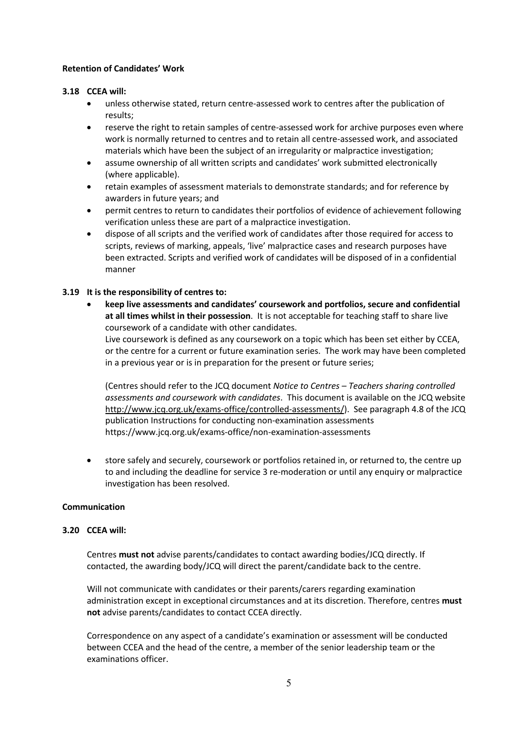### **Retention of Candidates' Work**

# **3.18 CCEA will:**

- unless otherwise stated, return centre-assessed work to centres after the publication of results;
- reserve the right to retain samples of centre-assessed work for archive purposes even where work is normally returned to centres and to retain all centre-assessed work, and associated materials which have been the subject of an irregularity or malpractice investigation;
- assume ownership of all written scripts and candidates' work submitted electronically (where applicable).
- retain examples of assessment materials to demonstrate standards; and for reference by awarders in future years; and
- permit centres to return to candidates their portfolios of evidence of achievement following verification unless these are part of a malpractice investigation.
- dispose of all scripts and the verified work of candidates after those required for access to scripts, reviews of marking, appeals, 'live' malpractice cases and research purposes have been extracted. Scripts and verified work of candidates will be disposed of in a confidential manner

# **3.19 It is the responsibility of centres to:**

• **keep live assessments and candidates' coursework and portfolios, secure and confidential at all times whilst in their possession**. It is not acceptable for teaching staff to share live coursework of a candidate with other candidates. Live coursework is defined as any coursework on a topic which has been set either by CCEA, or the centre for a current or future examination series. The work may have been completed in a previous year or is in preparation for the present or future series;

(Centres should refer to the JCQ document *Notice to Centres – Teachers sharing controlled assessments and coursework with candidates*. This document is available on the JCQ website http://www.jcq.org.uk/exams-office/controlled-assessments/). See paragraph 4.8 of the JCQ publication Instructions for conducting non-examination assessments https://www.jcq.org.uk/exams-office/non-examination-assessments

• store safely and securely, coursework or portfolios retained in, or returned to, the centre up to and including the deadline for service 3 re-moderation or until any enquiry or malpractice investigation has been resolved.

#### **Communication**

#### **3.20 CCEA will:**

Centres **must not** advise parents/candidates to contact awarding bodies/JCQ directly. If contacted, the awarding body/JCQ will direct the parent/candidate back to the centre.

Will not communicate with candidates or their parents/carers regarding examination administration except in exceptional circumstances and at its discretion. Therefore, centres **must not** advise parents/candidates to contact CCEA directly.

Correspondence on any aspect of a candidate's examination or assessment will be conducted between CCEA and the head of the centre, a member of the senior leadership team or the examinations officer.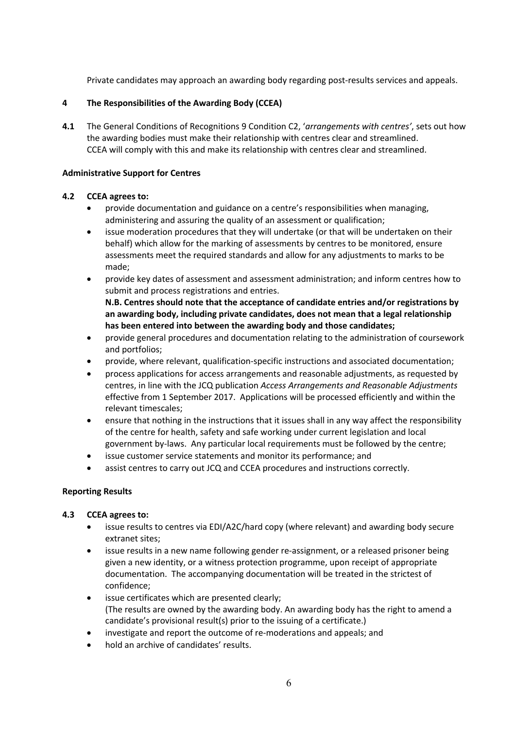Private candidates may approach an awarding body regarding post-results services and appeals.

# **4 The Responsibilities of the Awarding Body (CCEA)**

**4.1** The General Conditions of Recognitions 9 Condition C2, '*arrangements with centres'*, sets out how the awarding bodies must make their relationship with centres clear and streamlined. CCEA will comply with this and make its relationship with centres clear and streamlined.

# **Administrative Support for Centres**

# **4.2 CCEA agrees to:**

- provide documentation and guidance on a centre's responsibilities when managing, administering and assuring the quality of an assessment or qualification;
- issue moderation procedures that they will undertake (or that will be undertaken on their behalf) which allow for the marking of assessments by centres to be monitored, ensure assessments meet the required standards and allow for any adjustments to marks to be made;
- provide key dates of assessment and assessment administration; and inform centres how to submit and process registrations and entries.

**N.B. Centres should note that the acceptance of candidate entries and/or registrations by an awarding body, including private candidates, does not mean that a legal relationship has been entered into between the awarding body and those candidates;**

- provide general procedures and documentation relating to the administration of coursework and portfolios;
- provide, where relevant, qualification-specific instructions and associated documentation;
- process applications for access arrangements and reasonable adjustments, as requested by centres, in line with the JCQ publication *Access Arrangements and Reasonable Adjustments*  effective from 1 September 2017. Applications will be processed efficiently and within the relevant timescales;
- ensure that nothing in the instructions that it issues shall in any way affect the responsibility of the centre for health, safety and safe working under current legislation and local government by-laws. Any particular local requirements must be followed by the centre;
- issue customer service statements and monitor its performance; and
- assist centres to carry out JCQ and CCEA procedures and instructions correctly.

# **Reporting Results**

# **4.3 CCEA agrees to:**

- issue results to centres via EDI/A2C/hard copy (where relevant) and awarding body secure extranet sites;
- issue results in a new name following gender re-assignment, or a released prisoner being given a new identity, or a witness protection programme, upon receipt of appropriate documentation. The accompanying documentation will be treated in the strictest of confidence;
- issue certificates which are presented clearly; (The results are owned by the awarding body. An awarding body has the right to amend a candidate's provisional result(s) prior to the issuing of a certificate.)
- investigate and report the outcome of re-moderations and appeals; and
- hold an archive of candidates' results.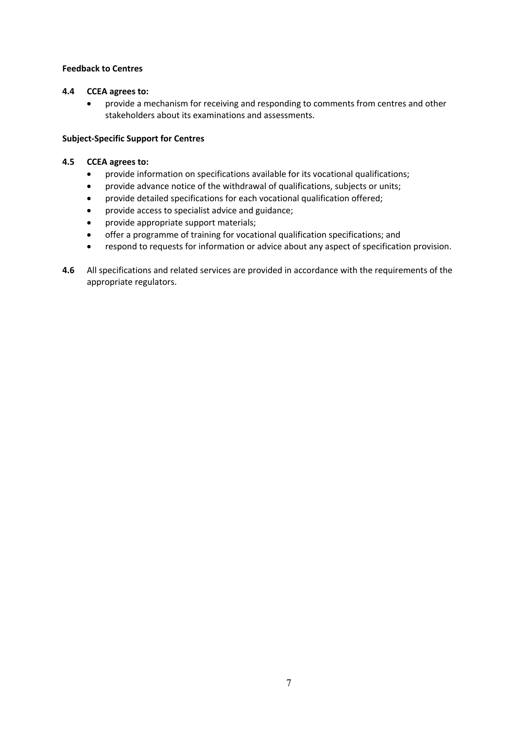# **Feedback to Centres**

# **4.4 CCEA agrees to:**

• provide a mechanism for receiving and responding to comments from centres and other stakeholders about its examinations and assessments.

# **Subject-Specific Support for Centres**

# **4.5 CCEA agrees to:**

- provide information on specifications available for its vocational qualifications;
- provide advance notice of the withdrawal of qualifications, subjects or units;
- provide detailed specifications for each vocational qualification offered;
- provide access to specialist advice and guidance;
- provide appropriate support materials;
- offer a programme of training for vocational qualification specifications; and
- respond to requests for information or advice about any aspect of specification provision.
- **4.6** All specifications and related services are provided in accordance with the requirements of the appropriate regulators.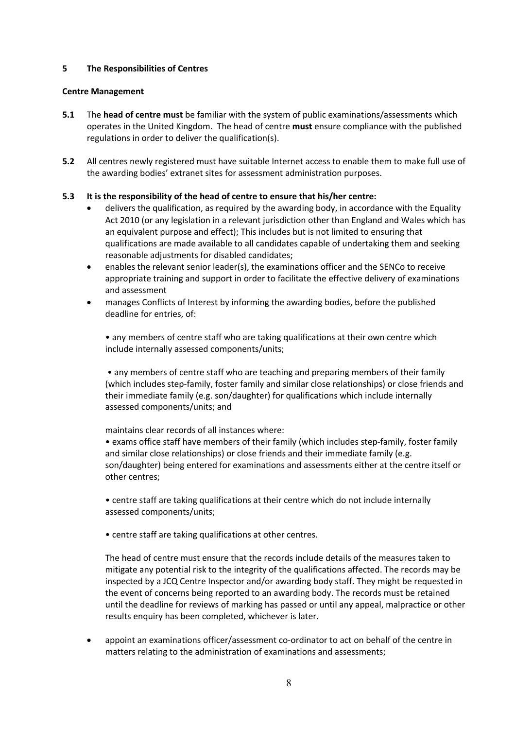# **5 The Responsibilities of Centres**

#### **Centre Management**

- **5.1** The **head of centre must** be familiar with the system of public examinations/assessments which operates in the United Kingdom. The head of centre **must** ensure compliance with the published regulations in order to deliver the qualification(s).
- **5.2** All centres newly registered must have suitable Internet access to enable them to make full use of the awarding bodies' extranet sites for assessment administration purposes.

# **5.3 It is the responsibility of the head of centre to ensure that his/her centre:**

- delivers the qualification, as required by the awarding body, in accordance with the Equality Act 2010 (or any legislation in a relevant jurisdiction other than England and Wales which has an equivalent purpose and effect); This includes but is not limited to ensuring that qualifications are made available to all candidates capable of undertaking them and seeking reasonable adjustments for disabled candidates;
- enables the relevant senior leader(s), the examinations officer and the SENCo to receive appropriate training and support in order to facilitate the effective delivery of examinations and assessment
- manages Conflicts of Interest by informing the awarding bodies, before the published deadline for entries, of:

• any members of centre staff who are taking qualifications at their own centre which include internally assessed components/units;

• any members of centre staff who are teaching and preparing members of their family (which includes step-family, foster family and similar close relationships) or close friends and their immediate family (e.g. son/daughter) for qualifications which include internally assessed components/units; and

maintains clear records of all instances where:

• exams office staff have members of their family (which includes step-family, foster family and similar close relationships) or close friends and their immediate family (e.g. son/daughter) being entered for examinations and assessments either at the centre itself or other centres;

• centre staff are taking qualifications at their centre which do not include internally assessed components/units;

• centre staff are taking qualifications at other centres.

The head of centre must ensure that the records include details of the measures taken to mitigate any potential risk to the integrity of the qualifications affected. The records may be inspected by a JCQ Centre Inspector and/or awarding body staff. They might be requested in the event of concerns being reported to an awarding body. The records must be retained until the deadline for reviews of marking has passed or until any appeal, malpractice or other results enquiry has been completed, whichever is later.

• appoint an examinations officer/assessment co-ordinator to act on behalf of the centre in matters relating to the administration of examinations and assessments;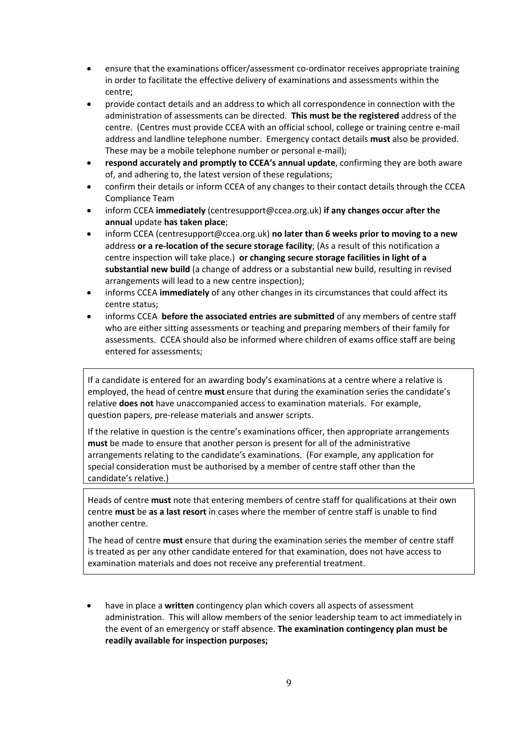- ensure that the examinations officer/assessment co-ordinator receives appropriate training in order to facilitate the effective delivery of examinations and assessments within the centre;
- provide contact details and an address to which all correspondence in connection with the administration of assessments can be directed. **This must be the registered** address of the centre. (Centres must provide CCEA with an official school, college or training centre e-mail address and landline telephone number. Emergency contact details **must** also be provided. These may be a mobile telephone number or personal e-mail);
- **respond accurately and promptly to CCEA's annual update**, confirming they are both aware of, and adhering to, the latest version of these regulations;
- confirm their details or inform CCEA of any changes to their contact details through the CCEA Compliance Team
- inform CCEA **immediately** (centresupport@ccea.org.uk) **if any changes occur after the annual** update **has taken place**;
- inform CCEA (centresupport@ccea.org.uk) **no later than 6 weeks prior to moving to a new**  address **or a re-location of the secure storage facility**; (As a result of this notification a centre inspection will take place.) **or changing secure storage facilities in light of a substantial new build** (a change of address or a substantial new build, resulting in revised arrangements will lead to a new centre inspection);
- informs CCEA **immediately** of any other changes in its circumstances that could affect its centre status;
- informs CCEA **before the associated entries are submitted** of any members of centre staff who are either sitting assessments or teaching and preparing members of their family for assessments. CCEA should also be informed where children of exams office staff are being entered for assessments;

If a candidate is entered for an awarding body's examinations at a centre where a relative is employed, the head of centre **must** ensure that during the examination series the candidate's relative **does not** have unaccompanied access to examination materials. For example, question papers, pre-release materials and answer scripts.

If the relative in question is the centre's examinations officer, then appropriate arrangements **must** be made to ensure that another person is present for all of the administrative arrangements relating to the candidate's examinations. (For example, any application for special consideration must be authorised by a member of centre staff other than the candidate's relative.)

Heads of centre **must** note that entering members of centre staff for qualifications at their own centre **must** be **as a last resort** in cases where the member of centre staff is unable to find another centre.

The head of centre **must** ensure that during the examination series the member of centre staff is treated as per any other candidate entered for that examination, does not have access to examination materials and does not receive any preferential treatment.

• have in place a **written** contingency plan which covers all aspects of assessment administration. This will allow members of the senior leadership team to act immediately in the event of an emergency or staff absence. **The examination contingency plan must be readily available for inspection purposes;**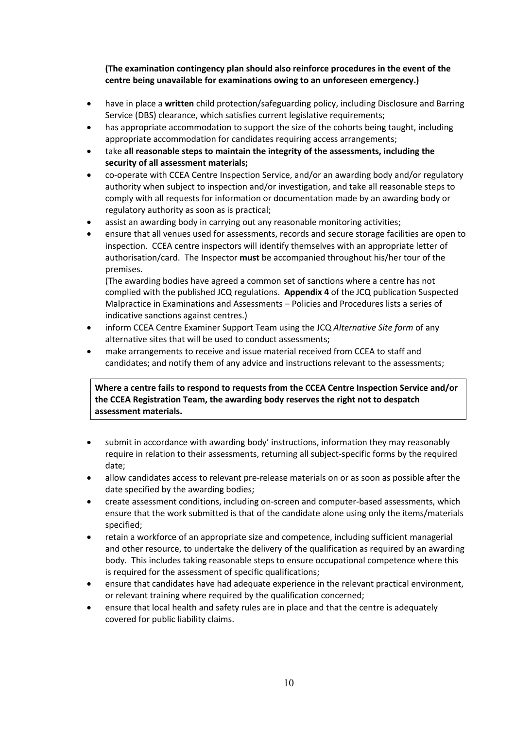**(The examination contingency plan should also reinforce procedures in the event of the centre being unavailable for examinations owing to an unforeseen emergency.)** 

- have in place a **written** child protection/safeguarding policy, including Disclosure and Barring Service (DBS) clearance, which satisfies current legislative requirements;
- has appropriate accommodation to support the size of the cohorts being taught, including appropriate accommodation for candidates requiring access arrangements;
- take **all reasonable steps to maintain the integrity of the assessments, including the security of all assessment materials;**
- co-operate with CCEA Centre Inspection Service, and/or an awarding body and/or regulatory authority when subject to inspection and/or investigation, and take all reasonable steps to comply with all requests for information or documentation made by an awarding body or regulatory authority as soon as is practical;
- assist an awarding body in carrying out any reasonable monitoring activities;
- ensure that all venues used for assessments, records and secure storage facilities are open to inspection. CCEA centre inspectors will identify themselves with an appropriate letter of authorisation/card. The Inspector **must** be accompanied throughout his/her tour of the premises.

(The awarding bodies have agreed a common set of sanctions where a centre has not complied with the published JCQ regulations. **Appendix 4** of the JCQ publication Suspected Malpractice in Examinations and Assessments – Policies and Procedures lists a series of indicative sanctions against centres.)

- inform CCEA Centre Examiner Support Team using the JCQ *Alternative Site form* of any alternative sites that will be used to conduct assessments;
- make arrangements to receive and issue material received from CCEA to staff and candidates; and notify them of any advice and instructions relevant to the assessments;

**Where a centre fails to respond to requests from the CCEA Centre Inspection Service and/or the CCEA Registration Team, the awarding body reserves the right not to despatch assessment materials.**

- submit in accordance with awarding body' instructions, information they may reasonably require in relation to their assessments, returning all subject-specific forms by the required date;
- allow candidates access to relevant pre-release materials on or as soon as possible after the date specified by the awarding bodies;
- create assessment conditions, including on-screen and computer-based assessments, which ensure that the work submitted is that of the candidate alone using only the items/materials specified;
- retain a workforce of an appropriate size and competence, including sufficient managerial and other resource, to undertake the delivery of the qualification as required by an awarding body. This includes taking reasonable steps to ensure occupational competence where this is required for the assessment of specific qualifications;
- ensure that candidates have had adequate experience in the relevant practical environment, or relevant training where required by the qualification concerned;
- ensure that local health and safety rules are in place and that the centre is adequately covered for public liability claims.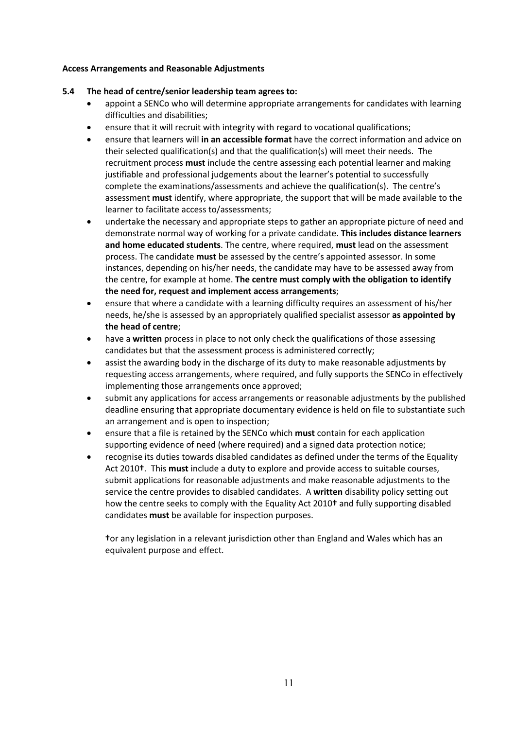### **Access Arrangements and Reasonable Adjustments**

# **5.4 The head of centre/senior leadership team agrees to:**

- appoint a SENCo who will determine appropriate arrangements for candidates with learning difficulties and disabilities;
- ensure that it will recruit with integrity with regard to vocational qualifications;
- ensure that learners will **in an accessible format** have the correct information and advice on their selected qualification(s) and that the qualification(s) will meet their needs. The recruitment process **must** include the centre assessing each potential learner and making justifiable and professional judgements about the learner's potential to successfully complete the examinations/assessments and achieve the qualification(s). The centre's assessment **must** identify, where appropriate, the support that will be made available to the learner to facilitate access to/assessments;
- undertake the necessary and appropriate steps to gather an appropriate picture of need and demonstrate normal way of working for a private candidate. **This includes distance learners and home educated students**. The centre, where required, **must** lead on the assessment process. The candidate **must** be assessed by the centre's appointed assessor. In some instances, depending on his/her needs, the candidate may have to be assessed away from the centre, for example at home. **The centre must comply with the obligation to identify the need for, request and implement access arrangements**;
- ensure that where a candidate with a learning difficulty requires an assessment of his/her needs, he/she is assessed by an appropriately qualified specialist assessor **as appointed by the head of centre**;
- have a **written** process in place to not only check the qualifications of those assessing candidates but that the assessment process is administered correctly;
- assist the awarding body in the discharge of its duty to make reasonable adjustments by requesting access arrangements, where required, and fully supports the SENCo in effectively implementing those arrangements once approved;
- submit any applications for access arrangements or reasonable adjustments by the published deadline ensuring that appropriate documentary evidence is held on file to substantiate such an arrangement and is open to inspection;
- ensure that a file is retained by the SENCo which **must** contain for each application supporting evidence of need (where required) and a signed data protection notice;
- recognise its duties towards disabled candidates as defined under the terms of the Equality Act 2010**†**. This **must** include a duty to explore and provide access to suitable courses, submit applications for reasonable adjustments and make reasonable adjustments to the service the centre provides to disabled candidates. A **written** disability policy setting out how the centre seeks to comply with the Equality Act 2010**†** and fully supporting disabled candidates **must** be available for inspection purposes.

**†**or any legislation in a relevant jurisdiction other than England and Wales which has an equivalent purpose and effect.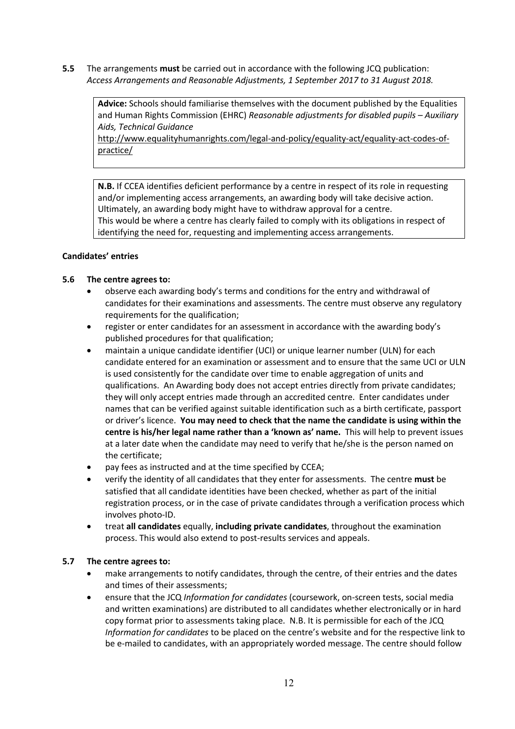**5.5** The arrangements **must** be carried out in accordance with the following JCQ publication: *Access Arrangements and Reasonable Adjustments, 1 September 2017 to 31 August 2018.*

**Advice:** Schools should familiarise themselves with the document published by the Equalities and Human Rights Commission (EHRC) *Reasonable adjustments for disabled pupils – Auxiliary Aids, Technical Guidance*

http://www.equalityhumanrights.com/legal-and-policy/equality-act/equality-act-codes-ofpractice/

**N.B.** If CCEA identifies deficient performance by a centre in respect of its role in requesting and/or implementing access arrangements, an awarding body will take decisive action. Ultimately, an awarding body might have to withdraw approval for a centre. This would be where a centre has clearly failed to comply with its obligations in respect of identifying the need for, requesting and implementing access arrangements.

# **Candidates' entries**

# **5.6 The centre agrees to:**

- observe each awarding body's terms and conditions for the entry and withdrawal of candidates for their examinations and assessments. The centre must observe any regulatory requirements for the qualification;
- register or enter candidates for an assessment in accordance with the awarding body's published procedures for that qualification;
- maintain a unique candidate identifier (UCI) or unique learner number (ULN) for each candidate entered for an examination or assessment and to ensure that the same UCI or ULN is used consistently for the candidate over time to enable aggregation of units and qualifications. An Awarding body does not accept entries directly from private candidates; they will only accept entries made through an accredited centre. Enter candidates under names that can be verified against suitable identification such as a birth certificate, passport or driver's licence. **You may need to check that the name the candidate is using within the centre is his/her legal name rather than a 'known as' name.** This will help to prevent issues at a later date when the candidate may need to verify that he/she is the person named on the certificate;
- pay fees as instructed and at the time specified by CCEA;
- verify the identity of all candidates that they enter for assessments. The centre **must** be satisfied that all candidate identities have been checked, whether as part of the initial registration process, or in the case of private candidates through a verification process which involves photo-ID.
- treat **all candidates** equally, **including private candidates**, throughout the examination process. This would also extend to post-results services and appeals.

# **5.7 The centre agrees to:**

- make arrangements to notify candidates, through the centre, of their entries and the dates and times of their assessments;
- ensure that the JCQ *Information for candidates* (coursework, on-screen tests, social media and written examinations) are distributed to all candidates whether electronically or in hard copy format prior to assessments taking place. N.B. It is permissible for each of the JCQ *Information for candidates* to be placed on the centre's website and for the respective link to be e-mailed to candidates, with an appropriately worded message. The centre should follow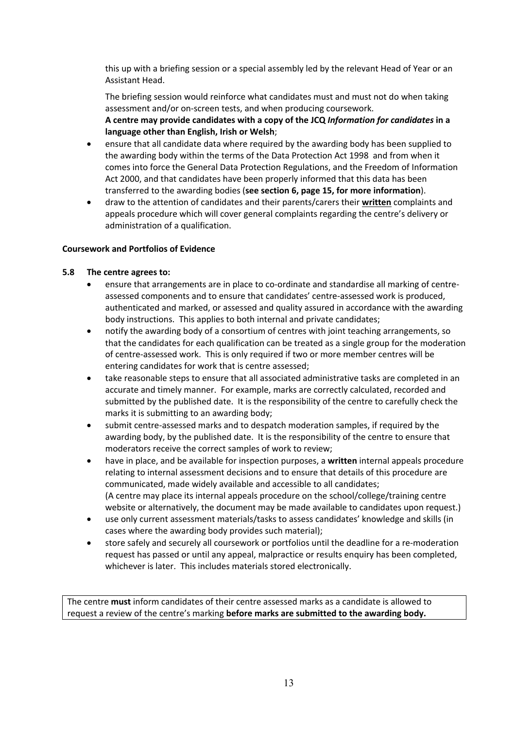this up with a briefing session or a special assembly led by the relevant Head of Year or an Assistant Head.

The briefing session would reinforce what candidates must and must not do when taking assessment and/or on-screen tests, and when producing coursework. **A centre may provide candidates with a copy of the JCQ** *Information for candidates* **in a language other than English, Irish or Welsh**;

- ensure that all candidate data where required by the awarding body has been supplied to the awarding body within the terms of the Data Protection Act 1998 and from when it comes into force the General Data Protection Regulations, and the Freedom of Information Act 2000, and that candidates have been properly informed that this data has been transferred to the awarding bodies (**see section 6, page 15, for more information**).
- draw to the attention of candidates and their parents/carers their **written** complaints and appeals procedure which will cover general complaints regarding the centre's delivery or administration of a qualification.

# **Coursework and Portfolios of Evidence**

# **5.8 The centre agrees to:**

- ensure that arrangements are in place to co-ordinate and standardise all marking of centreassessed components and to ensure that candidates' centre-assessed work is produced, authenticated and marked, or assessed and quality assured in accordance with the awarding body instructions. This applies to both internal and private candidates;
- notify the awarding body of a consortium of centres with joint teaching arrangements, so that the candidates for each qualification can be treated as a single group for the moderation of centre-assessed work. This is only required if two or more member centres will be entering candidates for work that is centre assessed;
- take reasonable steps to ensure that all associated administrative tasks are completed in an accurate and timely manner. For example, marks are correctly calculated, recorded and submitted by the published date. It is the responsibility of the centre to carefully check the marks it is submitting to an awarding body;
- submit centre-assessed marks and to despatch moderation samples, if required by the awarding body, by the published date. It is the responsibility of the centre to ensure that moderators receive the correct samples of work to review;
- have in place, and be available for inspection purposes, a **written** internal appeals procedure relating to internal assessment decisions and to ensure that details of this procedure are communicated, made widely available and accessible to all candidates; (A centre may place its internal appeals procedure on the school/college/training centre website or alternatively, the document may be made available to candidates upon request.)
- use only current assessment materials/tasks to assess candidates' knowledge and skills (in cases where the awarding body provides such material);
- store safely and securely all coursework or portfolios until the deadline for a re-moderation request has passed or until any appeal, malpractice or results enquiry has been completed, whichever is later. This includes materials stored electronically.

The centre **must** inform candidates of their centre assessed marks as a candidate is allowed to request a review of the centre's marking **before marks are submitted to the awarding body.**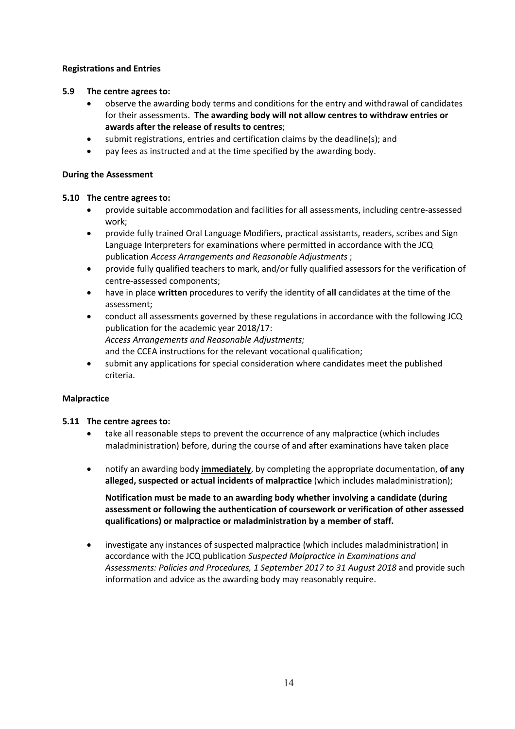# **Registrations and Entries**

# **5.9 The centre agrees to:**

- observe the awarding body terms and conditions for the entry and withdrawal of candidates for their assessments. **The awarding body will not allow centres to withdraw entries or awards after the release of results to centres**;
- submit registrations, entries and certification claims by the deadline(s); and
- pay fees as instructed and at the time specified by the awarding body.

# **During the Assessment**

# **5.10 The centre agrees to:**

- provide suitable accommodation and facilities for all assessments, including centre-assessed work;
- provide fully trained Oral Language Modifiers, practical assistants, readers, scribes and Sign Language Interpreters for examinations where permitted in accordance with the JCQ publication *Access Arrangements and Reasonable Adjustments* ;
- provide fully qualified teachers to mark, and/or fully qualified assessors for the verification of centre-assessed components;
- have in place **written** procedures to verify the identity of **all** candidates at the time of the assessment;
- conduct all assessments governed by these regulations in accordance with the following JCQ publication for the academic year 2018/17: *Access Arrangements and Reasonable Adjustments;* and the CCEA instructions for the relevant vocational qualification;
- submit any applications for special consideration where candidates meet the published criteria.

# **Malpractice**

# **5.11 The centre agrees to:**

- take all reasonable steps to prevent the occurrence of any malpractice (which includes maladministration) before, during the course of and after examinations have taken place
- notify an awarding body **immediately**, by completing the appropriate documentation, **of any alleged, suspected or actual incidents of malpractice** (which includes maladministration);

**Notification must be made to an awarding body whether involving a candidate (during assessment or following the authentication of coursework or verification of other assessed qualifications) or malpractice or maladministration by a member of staff.**

• investigate any instances of suspected malpractice (which includes maladministration) in accordance with the JCQ publication *Suspected Malpractice in Examinations and Assessments: Policies and Procedures, 1 September 2017 to 31 August 2018* and provide such information and advice as the awarding body may reasonably require.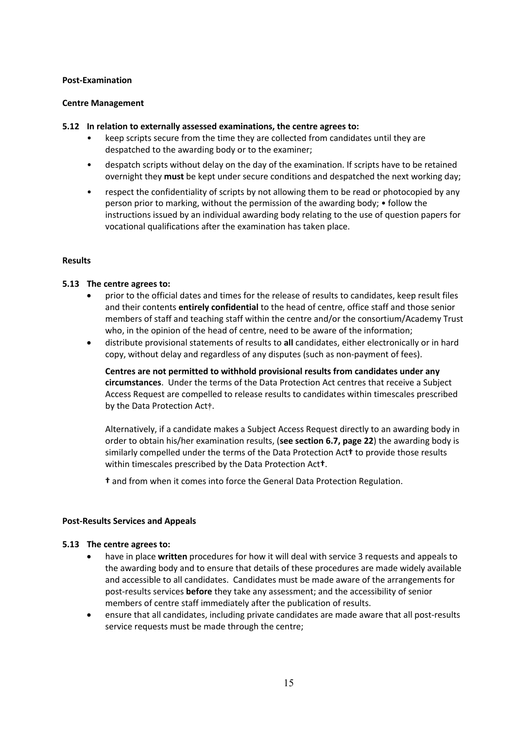#### **Post-Examination**

#### **Centre Management**

#### **5.12 In relation to externally assessed examinations, the centre agrees to:**

- keep scripts secure from the time they are collected from candidates until they are despatched to the awarding body or to the examiner;
- despatch scripts without delay on the day of the examination. If scripts have to be retained overnight they **must** be kept under secure conditions and despatched the next working day;
- respect the confidentiality of scripts by not allowing them to be read or photocopied by any person prior to marking, without the permission of the awarding body; • follow the instructions issued by an individual awarding body relating to the use of question papers for vocational qualifications after the examination has taken place.

#### **Results**

#### **5.13 The centre agrees to:**

- prior to the official dates and times for the release of results to candidates, keep result files and their contents **entirely confidential** to the head of centre, office staff and those senior members of staff and teaching staff within the centre and/or the consortium/Academy Trust who, in the opinion of the head of centre, need to be aware of the information;
- distribute provisional statements of results to **all** candidates, either electronically or in hard copy, without delay and regardless of any disputes (such as non-payment of fees).

**Centres are not permitted to withhold provisional results from candidates under any circumstances**. Under the terms of the Data Protection Act centres that receive a Subject Access Request are compelled to release results to candidates within timescales prescribed by the Data Protection Act**†**.

Alternatively, if a candidate makes a Subject Access Request directly to an awarding body in order to obtain his/her examination results, (**see section 6.7, page 22**) the awarding body is similarly compelled under the terms of the Data Protection Act**†** to provide those results within timescales prescribed by the Data Protection Act**†**.

**†** and from when it comes into force the General Data Protection Regulation.

#### **Post-Results Services and Appeals**

#### **5.13 The centre agrees to:**

- have in place **written** procedures for how it will deal with service 3 requests and appeals to the awarding body and to ensure that details of these procedures are made widely available and accessible to all candidates. Candidates must be made aware of the arrangements for post-results services **before** they take any assessment; and the accessibility of senior members of centre staff immediately after the publication of results.
- ensure that all candidates, including private candidates are made aware that all post-results service requests must be made through the centre;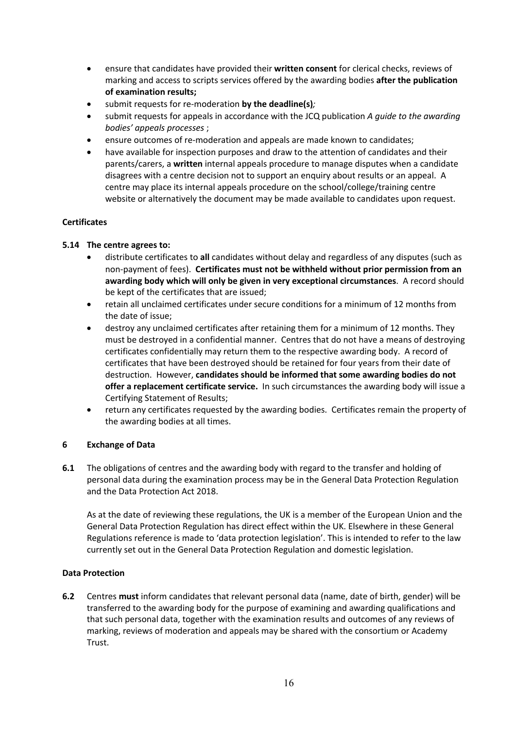- ensure that candidates have provided their **written consent** for clerical checks, reviews of marking and access to scripts services offered by the awarding bodies **after the publication of examination results;**
- submit requests for re-moderation **by the deadline(s)***;*
- submit requests for appeals in accordance with the JCQ publication *A guide to the awarding bodies' appeals processes* ;
- ensure outcomes of re-moderation and appeals are made known to candidates;
- have available for inspection purposes and draw to the attention of candidates and their parents/carers, a **written** internal appeals procedure to manage disputes when a candidate disagrees with a centre decision not to support an enquiry about results or an appeal. A centre may place its internal appeals procedure on the school/college/training centre website or alternatively the document may be made available to candidates upon request.

# **Certificates**

# **5.14 The centre agrees to:**

- distribute certificates to **all** candidates without delay and regardless of any disputes (such as non-payment of fees). **Certificates must not be withheld without prior permission from an awarding body which will only be given in very exceptional circumstances**. A record should be kept of the certificates that are issued;
- retain all unclaimed certificates under secure conditions for a minimum of 12 months from the date of issue;
- destroy any unclaimed certificates after retaining them for a minimum of 12 months. They must be destroyed in a confidential manner. Centres that do not have a means of destroying certificates confidentially may return them to the respective awarding body. A record of certificates that have been destroyed should be retained for four years from their date of destruction. However, **candidates should be informed that some awarding bodies do not offer a replacement certificate service.** In such circumstances the awarding body will issue a Certifying Statement of Results;
- return any certificates requested by the awarding bodies. Certificates remain the property of the awarding bodies at all times.

# **6 Exchange of Data**

**6.1** The obligations of centres and the awarding body with regard to the transfer and holding of personal data during the examination process may be in the General Data Protection Regulation and the Data Protection Act 2018.

As at the date of reviewing these regulations, the UK is a member of the European Union and the General Data Protection Regulation has direct effect within the UK. Elsewhere in these General Regulations reference is made to 'data protection legislation'. This is intended to refer to the law currently set out in the General Data Protection Regulation and domestic legislation.

# **Data Protection**

**6.2** Centres **must** inform candidates that relevant personal data (name, date of birth, gender) will be transferred to the awarding body for the purpose of examining and awarding qualifications and that such personal data, together with the examination results and outcomes of any reviews of marking, reviews of moderation and appeals may be shared with the consortium or Academy Trust.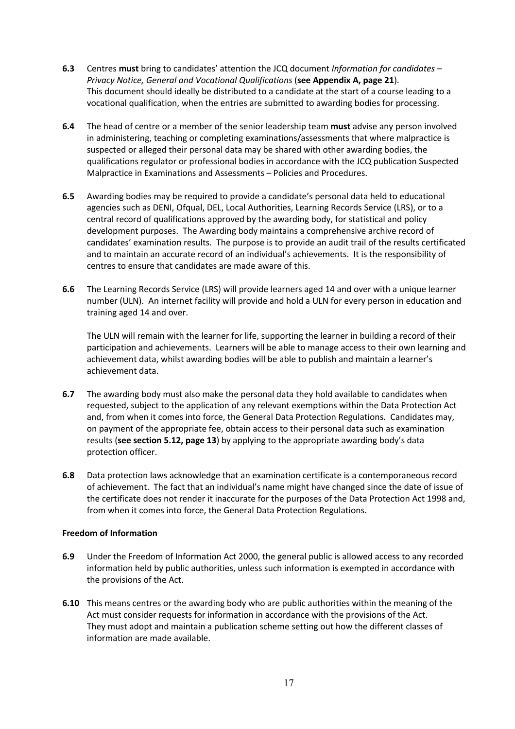- **6.3** Centres **must** bring to candidates' attention the JCQ document *Information for candidates – Privacy Notice, General and Vocational Qualifications* (**see Appendix A, page 21**). This document should ideally be distributed to a candidate at the start of a course leading to a vocational qualification, when the entries are submitted to awarding bodies for processing.
- **6.4** The head of centre or a member of the senior leadership team **must** advise any person involved in administering, teaching or completing examinations/assessments that where malpractice is suspected or alleged their personal data may be shared with other awarding bodies, the qualifications regulator or professional bodies in accordance with the JCQ publication Suspected Malpractice in Examinations and Assessments – Policies and Procedures.
- **6.5** Awarding bodies may be required to provide a candidate's personal data held to educational agencies such as DENI, Ofqual, DEL, Local Authorities, Learning Records Service (LRS), or to a central record of qualifications approved by the awarding body, for statistical and policy development purposes. The Awarding body maintains a comprehensive archive record of candidates' examination results. The purpose is to provide an audit trail of the results certificated and to maintain an accurate record of an individual's achievements. It is the responsibility of centres to ensure that candidates are made aware of this.
- **6.6** The Learning Records Service (LRS) will provide learners aged 14 and over with a unique learner number (ULN). An internet facility will provide and hold a ULN for every person in education and training aged 14 and over.

The ULN will remain with the learner for life, supporting the learner in building a record of their participation and achievements. Learners will be able to manage access to their own learning and achievement data, whilst awarding bodies will be able to publish and maintain a learner's achievement data.

- **6.7** The awarding body must also make the personal data they hold available to candidates when requested, subject to the application of any relevant exemptions within the Data Protection Act and, from when it comes into force, the General Data Protection Regulations. Candidates may, on payment of the appropriate fee, obtain access to their personal data such as examination results (**see section 5.12, page 13**) by applying to the appropriate awarding body's data protection officer.
- **6.8** Data protection laws acknowledge that an examination certificate is a contemporaneous record of achievement. The fact that an individual's name might have changed since the date of issue of the certificate does not render it inaccurate for the purposes of the Data Protection Act 1998 and, from when it comes into force, the General Data Protection Regulations.

#### **Freedom of Information**

- **6.9** Under the Freedom of Information Act 2000, the general public is allowed access to any recorded information held by public authorities, unless such information is exempted in accordance with the provisions of the Act.
- **6.10** This means centres or the awarding body who are public authorities within the meaning of the Act must consider requests for information in accordance with the provisions of the Act. They must adopt and maintain a publication scheme setting out how the different classes of information are made available.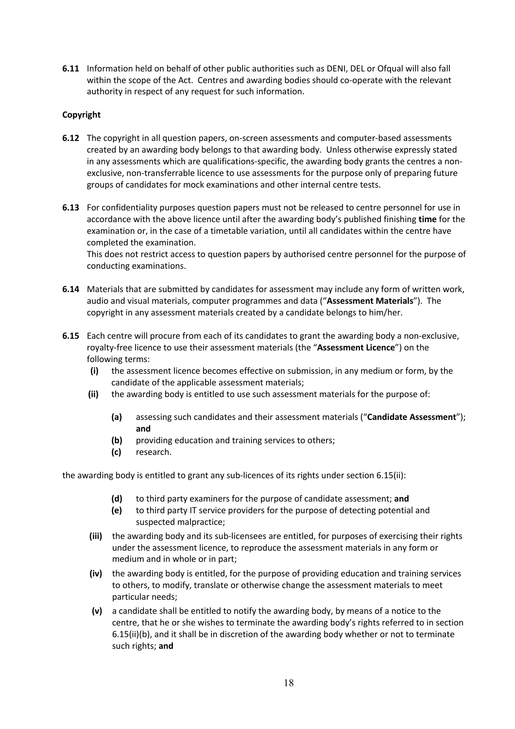**6.11** Information held on behalf of other public authorities such as DENI, DEL or Ofqual will also fall within the scope of the Act. Centres and awarding bodies should co-operate with the relevant authority in respect of any request for such information.

# **Copyright**

- **6.12** The copyright in all question papers, on-screen assessments and computer-based assessments created by an awarding body belongs to that awarding body. Unless otherwise expressly stated in any assessments which are qualifications-specific, the awarding body grants the centres a nonexclusive, non-transferrable licence to use assessments for the purpose only of preparing future groups of candidates for mock examinations and other internal centre tests.
- **6.13** For confidentiality purposes question papers must not be released to centre personnel for use in accordance with the above licence until after the awarding body's published finishing **time** for the examination or, in the case of a timetable variation, until all candidates within the centre have completed the examination.

This does not restrict access to question papers by authorised centre personnel for the purpose of conducting examinations.

- **6.14** Materials that are submitted by candidates for assessment may include any form of written work, audio and visual materials, computer programmes and data ("**Assessment Materials**"). The copyright in any assessment materials created by a candidate belongs to him/her.
- **6.15** Each centre will procure from each of its candidates to grant the awarding body a non-exclusive, royalty-free licence to use their assessment materials (the "**Assessment Licence**") on the following terms:
	- **(i)** the assessment licence becomes effective on submission, in any medium or form, by the candidate of the applicable assessment materials;
	- **(ii)** the awarding body is entitled to use such assessment materials for the purpose of:
		- **(a)** assessing such candidates and their assessment materials ("**Candidate Assessment**"); **and**
		- **(b)** providing education and training services to others;
		- **(c)** research.

the awarding body is entitled to grant any sub-licences of its rights under section 6.15(ii):

- **(d)** to third party examiners for the purpose of candidate assessment; **and**
- **(e)** to third party IT service providers for the purpose of detecting potential and suspected malpractice;
- **(iii)** the awarding body and its sub-licensees are entitled, for purposes of exercising their rights under the assessment licence, to reproduce the assessment materials in any form or medium and in whole or in part;
- **(iv)** the awarding body is entitled, for the purpose of providing education and training services to others, to modify, translate or otherwise change the assessment materials to meet particular needs;
- **(v)** a candidate shall be entitled to notify the awarding body, by means of a notice to the centre, that he or she wishes to terminate the awarding body's rights referred to in section 6.15(ii)(b), and it shall be in discretion of the awarding body whether or not to terminate such rights; **and**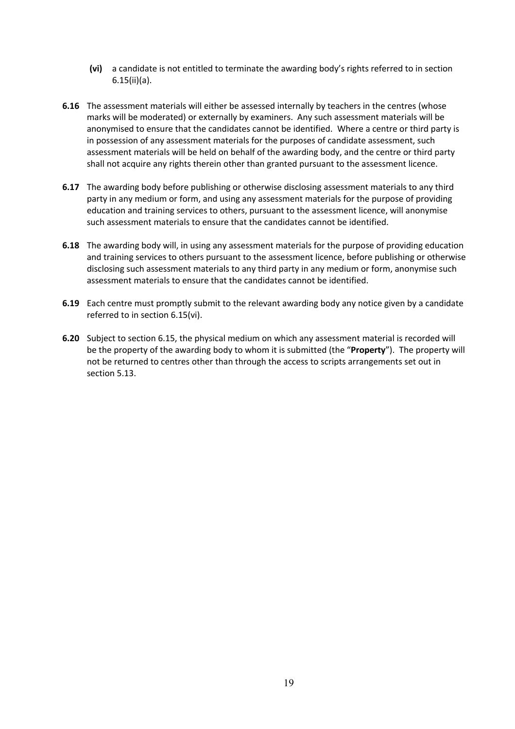- **(vi)** a candidate is not entitled to terminate the awarding body's rights referred to in section 6.15(ii)(a).
- **6.16** The assessment materials will either be assessed internally by teachers in the centres (whose marks will be moderated) or externally by examiners. Any such assessment materials will be anonymised to ensure that the candidates cannot be identified. Where a centre or third party is in possession of any assessment materials for the purposes of candidate assessment, such assessment materials will be held on behalf of the awarding body, and the centre or third party shall not acquire any rights therein other than granted pursuant to the assessment licence.
- **6.17** The awarding body before publishing or otherwise disclosing assessment materials to any third party in any medium or form, and using any assessment materials for the purpose of providing education and training services to others, pursuant to the assessment licence, will anonymise such assessment materials to ensure that the candidates cannot be identified.
- **6.18** The awarding body will, in using any assessment materials for the purpose of providing education and training services to others pursuant to the assessment licence, before publishing or otherwise disclosing such assessment materials to any third party in any medium or form, anonymise such assessment materials to ensure that the candidates cannot be identified.
- **6.19** Each centre must promptly submit to the relevant awarding body any notice given by a candidate referred to in section 6.15(vi).
- **6.20** Subject to section 6.15, the physical medium on which any assessment material is recorded will be the property of the awarding body to whom it is submitted (the "**Property**"). The property will not be returned to centres other than through the access to scripts arrangements set out in section 5.13.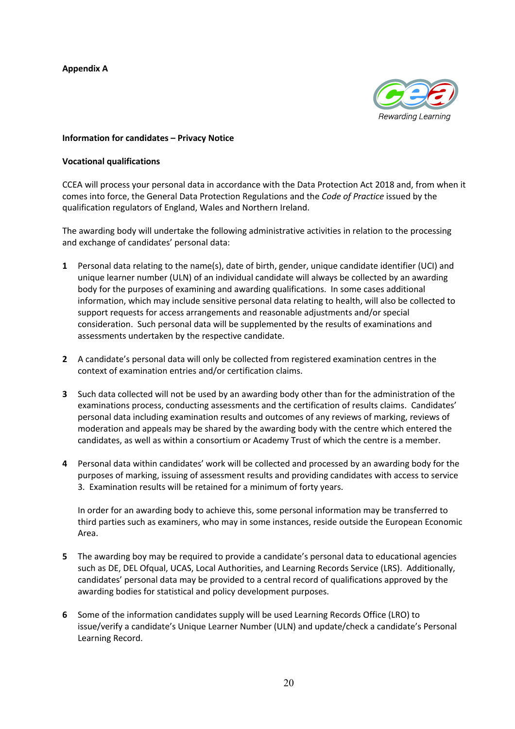# **Appendix A**



#### **Information for candidates – Privacy Notice**

#### **Vocational qualifications**

CCEA will process your personal data in accordance with the Data Protection Act 2018 and, from when it comes into force, the General Data Protection Regulations and the *Code of Practice* issued by the qualification regulators of England, Wales and Northern Ireland.

The awarding body will undertake the following administrative activities in relation to the processing and exchange of candidates' personal data:

- **1** Personal data relating to the name(s), date of birth, gender, unique candidate identifier (UCI) and unique learner number (ULN) of an individual candidate will always be collected by an awarding body for the purposes of examining and awarding qualifications. In some cases additional information, which may include sensitive personal data relating to health, will also be collected to support requests for access arrangements and reasonable adjustments and/or special consideration. Such personal data will be supplemented by the results of examinations and assessments undertaken by the respective candidate.
- **2** A candidate's personal data will only be collected from registered examination centres in the context of examination entries and/or certification claims.
- **3** Such data collected will not be used by an awarding body other than for the administration of the examinations process, conducting assessments and the certification of results claims. Candidates' personal data including examination results and outcomes of any reviews of marking, reviews of moderation and appeals may be shared by the awarding body with the centre which entered the candidates, as well as within a consortium or Academy Trust of which the centre is a member.
- **4** Personal data within candidates' work will be collected and processed by an awarding body for the purposes of marking, issuing of assessment results and providing candidates with access to service 3. Examination results will be retained for a minimum of forty years.

In order for an awarding body to achieve this, some personal information may be transferred to third parties such as examiners, who may in some instances, reside outside the European Economic Area.

- **5** The awarding boy may be required to provide a candidate's personal data to educational agencies such as DE, DEL Ofqual, UCAS, Local Authorities, and Learning Records Service (LRS). Additionally, candidates' personal data may be provided to a central record of qualifications approved by the awarding bodies for statistical and policy development purposes.
- **6** Some of the information candidates supply will be used Learning Records Office (LRO) to issue/verify a candidate's Unique Learner Number (ULN) and update/check a candidate's Personal Learning Record.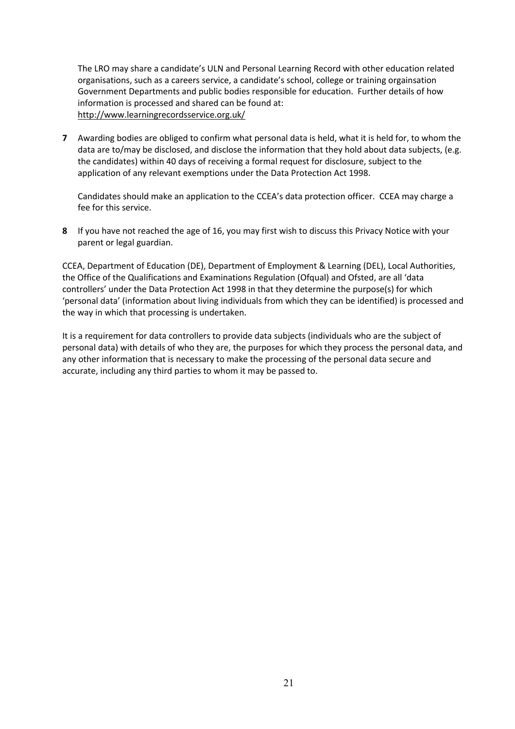The LRO may share a candidate's ULN and Personal Learning Record with other education related organisations, such as a careers service, a candidate's school, college or training orgainsation Government Departments and public bodies responsible for education. Further details of how information is processed and shared can be found at: http://www.learningrecordsservice.org.uk/

**7** Awarding bodies are obliged to confirm what personal data is held, what it is held for, to whom the data are to/may be disclosed, and disclose the information that they hold about data subjects, (e.g. the candidates) within 40 days of receiving a formal request for disclosure, subject to the application of any relevant exemptions under the Data Protection Act 1998.

Candidates should make an application to the CCEA's data protection officer. CCEA may charge a fee for this service.

**8** If you have not reached the age of 16, you may first wish to discuss this Privacy Notice with your parent or legal guardian.

CCEA, Department of Education (DE), Department of Employment & Learning (DEL), Local Authorities, the Office of the Qualifications and Examinations Regulation (Ofqual) and Ofsted, are all 'data controllers' under the Data Protection Act 1998 in that they determine the purpose(s) for which 'personal data' (information about living individuals from which they can be identified) is processed and the way in which that processing is undertaken.

It is a requirement for data controllers to provide data subjects (individuals who are the subject of personal data) with details of who they are, the purposes for which they process the personal data, and any other information that is necessary to make the processing of the personal data secure and accurate, including any third parties to whom it may be passed to.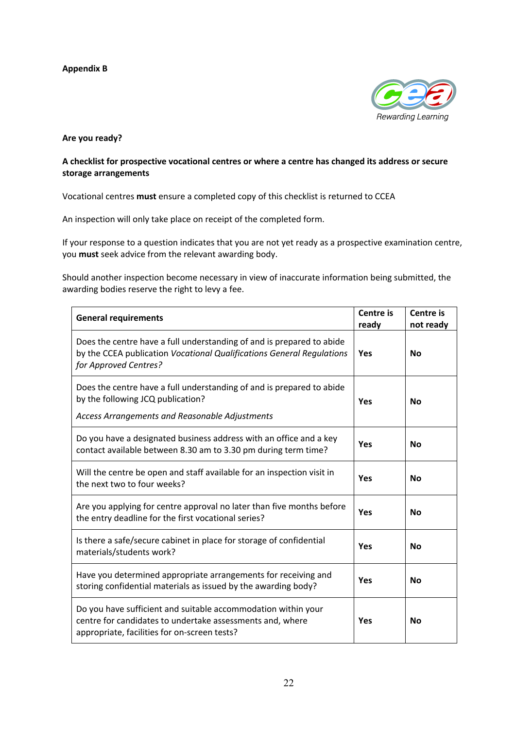# **Appendix B**



#### **Are you ready?**

# **A checklist for prospective vocational centres or where a centre has changed its address or secure storage arrangements**

Vocational centres **must** ensure a completed copy of this checklist is returned to CCEA

An inspection will only take place on receipt of the completed form.

If your response to a question indicates that you are not yet ready as a prospective examination centre, you **must** seek advice from the relevant awarding body.

Should another inspection become necessary in view of inaccurate information being submitted, the awarding bodies reserve the right to levy a fee.

| <b>General requirements</b>                                                                                                                                                | <b>Centre is</b><br>ready | Centre is<br>not ready |
|----------------------------------------------------------------------------------------------------------------------------------------------------------------------------|---------------------------|------------------------|
| Does the centre have a full understanding of and is prepared to abide<br>by the CCEA publication Vocational Qualifications General Regulations<br>for Approved Centres?    | <b>Yes</b>                | <b>No</b>              |
| Does the centre have a full understanding of and is prepared to abide<br>by the following JCQ publication?<br>Access Arrangements and Reasonable Adjustments               | <b>Yes</b>                | <b>No</b>              |
| Do you have a designated business address with an office and a key<br>contact available between 8.30 am to 3.30 pm during term time?                                       | Yes                       | <b>No</b>              |
| Will the centre be open and staff available for an inspection visit in<br>the next two to four weeks?                                                                      | Yes                       | <b>No</b>              |
| Are you applying for centre approval no later than five months before<br>the entry deadline for the first vocational series?                                               | Yes                       | <b>No</b>              |
| Is there a safe/secure cabinet in place for storage of confidential<br>materials/students work?                                                                            | <b>Yes</b>                | <b>No</b>              |
| Have you determined appropriate arrangements for receiving and<br>storing confidential materials as issued by the awarding body?                                           | Yes                       | <b>No</b>              |
| Do you have sufficient and suitable accommodation within your<br>centre for candidates to undertake assessments and, where<br>appropriate, facilities for on-screen tests? | <b>Yes</b>                | <b>No</b>              |